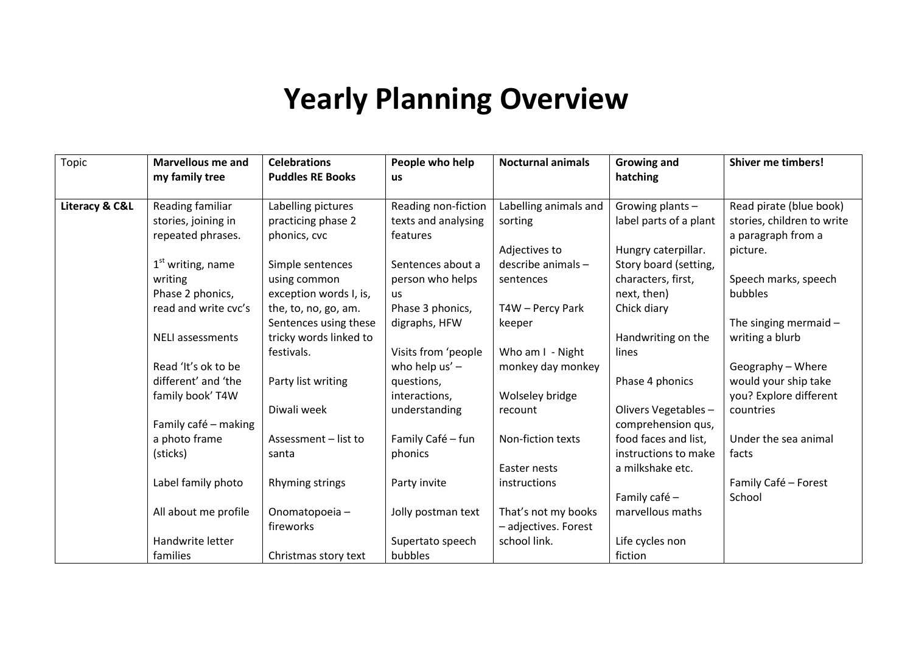## **Yearly Planning Overview**

| Topic          | <b>Marvellous me and</b> | <b>Celebrations</b>     | People who help     | <b>Nocturnal animals</b> | <b>Growing and</b>     | <b>Shiver me timbers!</b>  |
|----------------|--------------------------|-------------------------|---------------------|--------------------------|------------------------|----------------------------|
|                | my family tree           | <b>Puddles RE Books</b> | <b>us</b>           |                          | hatching               |                            |
|                |                          |                         |                     |                          |                        |                            |
| Literacy & C&L | Reading familiar         | Labelling pictures      | Reading non-fiction | Labelling animals and    | Growing plants -       | Read pirate (blue book)    |
|                | stories, joining in      | practicing phase 2      | texts and analysing | sorting                  | label parts of a plant | stories, children to write |
|                | repeated phrases.        | phonics, cvc            | features            |                          |                        | a paragraph from a         |
|                |                          |                         |                     | Adjectives to            | Hungry caterpillar.    | picture.                   |
|                | $1st$ writing, name      | Simple sentences        | Sentences about a   | describe animals -       | Story board (setting,  |                            |
|                | writing                  | using common            | person who helps    | sentences                | characters, first,     | Speech marks, speech       |
|                | Phase 2 phonics,         | exception words I, is,  | <b>us</b>           |                          | next, then)            | bubbles                    |
|                | read and write cvc's     | the, to, no, go, am.    | Phase 3 phonics,    | T4W - Percy Park         | Chick diary            |                            |
|                |                          | Sentences using these   | digraphs, HFW       | keeper                   |                        | The singing mermaid $-$    |
|                | <b>NELI</b> assessments  | tricky words linked to  |                     |                          | Handwriting on the     | writing a blurb            |
|                |                          | festivals.              | Visits from 'people | Who am I - Night         | lines                  |                            |
|                | Read 'It's ok to be      |                         | who help $us'$ –    | monkey day monkey        |                        | Geography - Where          |
|                | different' and 'the      | Party list writing      | questions,          |                          | Phase 4 phonics        | would your ship take       |
|                | family book' T4W         |                         | interactions,       | Wolseley bridge          |                        | you? Explore different     |
|                |                          | Diwali week             | understanding       | recount                  | Olivers Vegetables-    | countries                  |
|                | Family café - making     |                         |                     |                          | comprehension qus,     |                            |
|                | a photo frame            | Assessment - list to    | Family Café - fun   | Non-fiction texts        | food faces and list,   | Under the sea animal       |
|                | (sticks)                 | santa                   | phonics             |                          | instructions to make   | facts                      |
|                |                          |                         |                     | Easter nests             | a milkshake etc.       |                            |
|                | Label family photo       | Rhyming strings         | Party invite        | instructions             |                        | Family Café - Forest       |
|                |                          |                         |                     |                          | Family café -          | School                     |
|                | All about me profile     | Onomatopoeia-           | Jolly postman text  | That's not my books      | marvellous maths       |                            |
|                |                          | fireworks               |                     | - adjectives. Forest     |                        |                            |
|                | Handwrite letter         |                         | Supertato speech    | school link.             | Life cycles non        |                            |
|                | families                 | Christmas story text    | bubbles             |                          | fiction                |                            |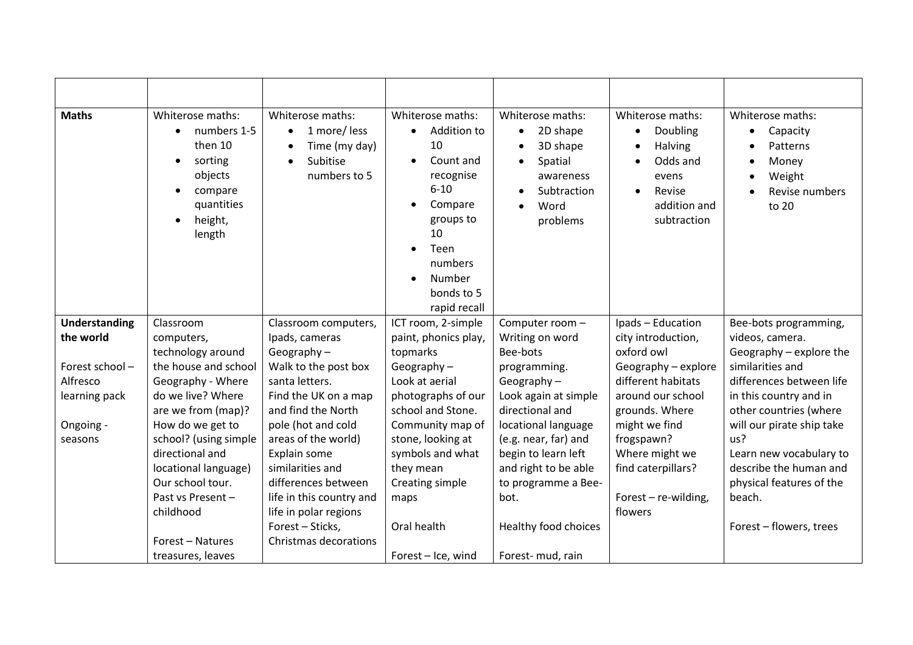| <b>Maths</b>   | Whiterose maths:<br>numbers 1-5<br>$\bullet$<br>then 10<br>sorting<br>$\bullet$<br>objects<br>compare<br>$\bullet$<br>quantities<br>height,<br>$\bullet$<br>length | Whiterose maths:<br>1 more/less<br>Time (my day)<br>Subitise<br>numbers to 5 | Whiterose maths:<br>Addition to<br>10<br>Count and<br>recognise<br>$6 - 10$<br>Compare<br>groups to<br>10<br>Teen<br>$\bullet$<br>numbers<br>Number<br>bonds to 5<br>rapid recall | Whiterose maths:<br>2D shape<br>$\bullet$<br>3D shape<br>Spatial<br>awareness<br>Subtraction<br>Word<br>$\bullet$<br>problems | Whiterose maths:<br>Doubling<br>Halving<br>Odds and<br>evens<br>Revise<br>$\bullet$<br>addition and<br>subtraction | Whiterose maths:<br>Capacity<br>$\bullet$<br>Patterns<br>$\bullet$<br>Money<br>$\bullet$<br>Weight<br>$\bullet$<br>Revise numbers<br>to 20 |
|----------------|--------------------------------------------------------------------------------------------------------------------------------------------------------------------|------------------------------------------------------------------------------|-----------------------------------------------------------------------------------------------------------------------------------------------------------------------------------|-------------------------------------------------------------------------------------------------------------------------------|--------------------------------------------------------------------------------------------------------------------|--------------------------------------------------------------------------------------------------------------------------------------------|
| Understanding  | Classroom                                                                                                                                                          | Classroom computers,                                                         | ICT room, 2-simple                                                                                                                                                                | Computer room -                                                                                                               | Ipads - Education                                                                                                  | Bee-bots programming,                                                                                                                      |
| the world      | computers,                                                                                                                                                         | Ipads, cameras                                                               | paint, phonics play,                                                                                                                                                              | Writing on word                                                                                                               | city introduction,                                                                                                 | videos, camera.                                                                                                                            |
|                | technology around                                                                                                                                                  | Geography $-$                                                                | topmarks                                                                                                                                                                          | Bee-bots                                                                                                                      | oxford owl                                                                                                         | Geography - explore the                                                                                                                    |
| Forest school- | the house and school                                                                                                                                               | Walk to the post box                                                         | Geography $-$                                                                                                                                                                     | programming.                                                                                                                  | Geography - explore                                                                                                | similarities and                                                                                                                           |
| Alfresco       | Geography - Where                                                                                                                                                  | santa letters.                                                               | Look at aerial                                                                                                                                                                    | Geography $-$                                                                                                                 | different habitats                                                                                                 | differences between life                                                                                                                   |
| learning pack  | do we live? Where                                                                                                                                                  | Find the UK on a map                                                         | photographs of our                                                                                                                                                                | Look again at simple                                                                                                          | around our school                                                                                                  | in this country and in                                                                                                                     |
|                | are we from (map)?                                                                                                                                                 | and find the North                                                           | school and Stone.                                                                                                                                                                 | directional and                                                                                                               | grounds. Where                                                                                                     | other countries (where                                                                                                                     |
| Ongoing -      | How do we get to                                                                                                                                                   | pole (hot and cold                                                           | Community map of                                                                                                                                                                  | locational language                                                                                                           | might we find                                                                                                      | will our pirate ship take                                                                                                                  |
| seasons        | school? (using simple                                                                                                                                              | areas of the world)                                                          | stone, looking at                                                                                                                                                                 | (e.g. near, far) and                                                                                                          | frogspawn?                                                                                                         | us?                                                                                                                                        |
|                | directional and                                                                                                                                                    | Explain some                                                                 | symbols and what                                                                                                                                                                  | begin to learn left                                                                                                           | Where might we                                                                                                     | Learn new vocabulary to                                                                                                                    |
|                | locational language)                                                                                                                                               | similarities and                                                             | they mean                                                                                                                                                                         | and right to be able                                                                                                          | find caterpillars?                                                                                                 | describe the human and                                                                                                                     |
|                | Our school tour.                                                                                                                                                   | differences between                                                          | Creating simple                                                                                                                                                                   | to programme a Bee-                                                                                                           |                                                                                                                    | physical features of the                                                                                                                   |
|                | Past vs Present-                                                                                                                                                   | life in this country and                                                     | maps                                                                                                                                                                              | bot.                                                                                                                          | Forest - re-wilding,                                                                                               | beach.                                                                                                                                     |
|                | childhood                                                                                                                                                          | life in polar regions                                                        |                                                                                                                                                                                   |                                                                                                                               | flowers                                                                                                            |                                                                                                                                            |
|                |                                                                                                                                                                    | Forest - Sticks,                                                             | Oral health                                                                                                                                                                       | Healthy food choices                                                                                                          |                                                                                                                    | Forest - flowers, trees                                                                                                                    |
|                | Forest - Natures                                                                                                                                                   | Christmas decorations                                                        |                                                                                                                                                                                   |                                                                                                                               |                                                                                                                    |                                                                                                                                            |
|                | treasures, leaves                                                                                                                                                  |                                                                              | Forest - Ice, wind                                                                                                                                                                | Forest-mud, rain                                                                                                              |                                                                                                                    |                                                                                                                                            |